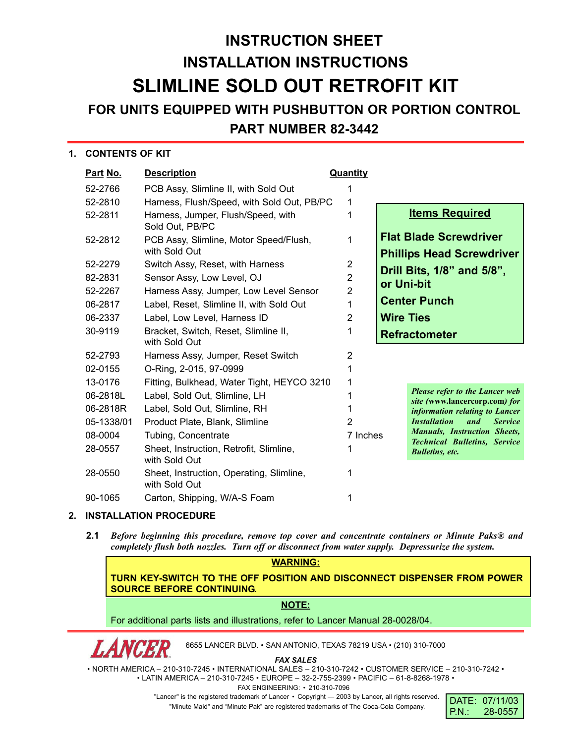## **INSTRUCTION SHEET INSTALLATION INSTRUCTIONS SLIMLINE SOLD OUT RETROFIT KIT**

### **FOR UNITS EQUIPPED WITH PUSHBUTTON OR PORTION CONTROL**

#### **PART NUMBER 82-3442**

#### **1. CONTENTS OF KIT**

| Part No.   | <b>Description</b>                                        | <b>Quantity</b> |                  |                                                                            |  |
|------------|-----------------------------------------------------------|-----------------|------------------|----------------------------------------------------------------------------|--|
| 52-2766    | PCB Assy, Slimline II, with Sold Out                      |                 |                  |                                                                            |  |
| 52-2810    | Harness, Flush/Speed, with Sold Out, PB/PC                | 1               |                  |                                                                            |  |
| 52-2811    | Harness, Jumper, Flush/Speed, with<br>Sold Out, PB/PC     | 1               |                  | <b>Items Required</b>                                                      |  |
| 52-2812    | PCB Assy, Slimline, Motor Speed/Flush,<br>with Sold Out   | 1               |                  | <b>Flat Blade Screwdriver</b><br><b>Phillips Head Screwdriver</b>          |  |
| 52-2279    | Switch Assy, Reset, with Harness                          | $\overline{2}$  |                  | Drill Bits, 1/8" and 5/8",                                                 |  |
| 82-2831    | Sensor Assy, Low Level, OJ                                | $\overline{2}$  | or Uni-bit       |                                                                            |  |
| 52-2267    | Harness Assy, Jumper, Low Level Sensor                    | $\overline{2}$  |                  |                                                                            |  |
| 06-2817    | Label, Reset, Slimline II, with Sold Out                  | 1               |                  | <b>Center Punch</b>                                                        |  |
| 06-2337    | Label, Low Level, Harness ID                              | 2               | <b>Wire Ties</b> |                                                                            |  |
| 30-9119    | Bracket, Switch, Reset, Slimline II,<br>with Sold Out     | 1               |                  | <b>Refractometer</b>                                                       |  |
| 52-2793    | Harness Assy, Jumper, Reset Switch                        | 2               |                  |                                                                            |  |
| 02-0155    | O-Ring, 2-015, 97-0999                                    | 1               |                  |                                                                            |  |
| 13-0176    | Fitting, Bulkhead, Water Tight, HEYCO 3210                | 1               |                  |                                                                            |  |
| 06-2818L   | Label, Sold Out, Slimline, LH                             |                 |                  | <b>Please refer to the Lancer web</b><br>site (www.lancercorp.com) for     |  |
| 06-2818R   | Label, Sold Out, Slimline, RH                             |                 |                  | information relating to Lancer                                             |  |
| 05-1338/01 | Product Plate, Blank, Slimline                            | $\overline{2}$  |                  | <b>Installation</b><br>and<br><b>Service</b>                               |  |
| 08-0004    | Tubing, Concentrate                                       | 7 Inches        |                  | <b>Manuals, Instruction Sheets,</b><br><b>Technical Bulletins, Service</b> |  |
| 28-0557    | Sheet, Instruction, Retrofit, Slimline,<br>with Sold Out  | 1               |                  | <b>Bulletins</b> , etc.                                                    |  |
| 28-0550    | Sheet, Instruction, Operating, Slimline,<br>with Sold Out | 1               |                  |                                                                            |  |
| 90-1065    | Carton, Shipping, W/A-S Foam                              |                 |                  |                                                                            |  |

#### **2. INSTALLATION PROCEDURE**

**2.1** *Before beginning this procedure, remove top cover and concentrate containers or Minute Paks® and completely flush both nozzles. Turn off or disconnect from water supply. Depressurize the system.*

#### **WARNING:**

**TURN KEY-SWITCH TO THE OFF POSITION AND DISCONNECT DISPENSER FROM POWER SOURCE BEFORE CONTINUING.**

#### **NOTE:**

For additional parts lists and illustrations, refer to Lancer Manual 28-0028/04.

6655 LANCER BLVD. • SAN ANTONIO, TEXAS 78219 USA • (210) 310-7000

*FAX SALES*

• NORTH AMERICA – 210-310-7245 • INTERNATIONAL SALES – 210-310-7242 • CUSTOMER SERVICE – 210-310-7242 • • LATIN AMERICA – 210-310-7245 • EUROPE – 32-2-755-2399 • PACIFIC – 61-8-8268-1978 • FAX ENGINEERING: • 210-310-7096

"Lancer" is the registered trademark of Lancer • Copyright - 2003 by Lancer, all rights reserved.

"Minute Maid" and "Minute Pak" are registered trademarks of The Coca-Cola Company.

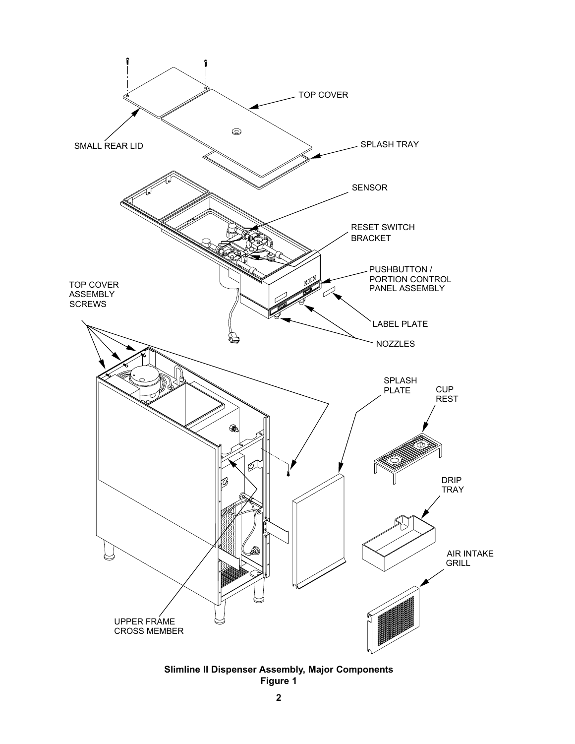

**Slimline II Dispenser Assembly, Major Components Figure 1**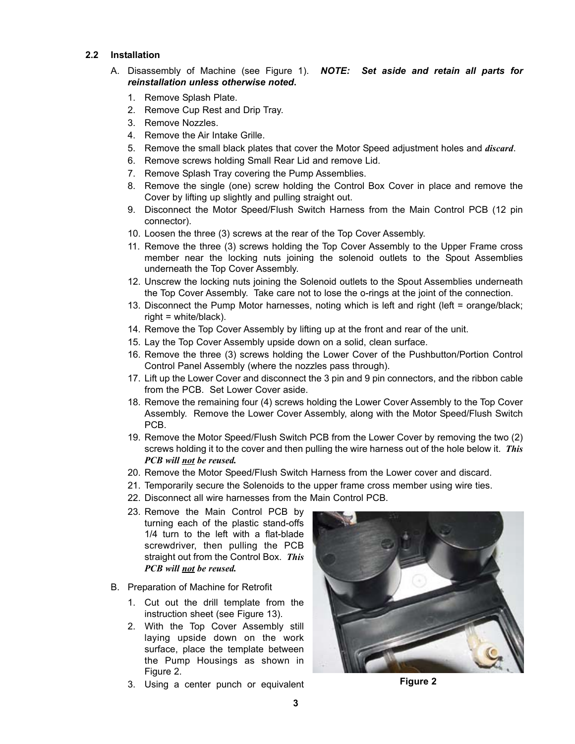#### **2.2 Installation**

- A. Disassembly of Machine (see Figure 1). *NOTE: Set aside and retain all parts for reinstallation unless otherwise noted***.**
	- 1. Remove Splash Plate.
	- 2. Remove Cup Rest and Drip Tray.
	- 3. Remove Nozzles.
	- 4. Remove the Air Intake Grille.
	- 5. Remove the small black plates that cover the Motor Speed adjustment holes and *discard*.
	- 6. Remove screws holding Small Rear Lid and remove Lid.
	- 7. Remove Splash Tray covering the Pump Assemblies.
	- 8. Remove the single (one) screw holding the Control Box Cover in place and remove the Cover by lifting up slightly and pulling straight out.
	- 9. Disconnect the Motor Speed/Flush Switch Harness from the Main Control PCB (12 pin connector).
	- 10. Loosen the three (3) screws at the rear of the Top Cover Assembly.
	- 11. Remove the three (3) screws holding the Top Cover Assembly to the Upper Frame cross member near the locking nuts joining the solenoid outlets to the Spout Assemblies underneath the Top Cover Assembly.
	- 12. Unscrew the locking nuts joining the Solenoid outlets to the Spout Assemblies underneath the Top Cover Assembly. Take care not to lose the o-rings at the joint of the connection.
	- 13. Disconnect the Pump Motor harnesses, noting which is left and right (left = orange/black; right = white/black).
	- 14. Remove the Top Cover Assembly by lifting up at the front and rear of the unit.
	- 15. Lay the Top Cover Assembly upside down on a solid, clean surface.
	- 16. Remove the three (3) screws holding the Lower Cover of the Pushbutton/Portion Control Control Panel Assembly (where the nozzles pass through).
	- 17. Lift up the Lower Cover and disconnect the 3 pin and 9 pin connectors, and the ribbon cable from the PCB. Set Lower Cover aside.
	- 18. Remove the remaining four (4) screws holding the Lower Cover Assembly to the Top Cover Assembly. Remove the Lower Cover Assembly, along with the Motor Speed/Flush Switch PCB.
	- 19. Remove the Motor Speed/Flush Switch PCB from the Lower Cover by removing the two (2) screws holding it to the cover and then pulling the wire harness out of the hole below it. *This PCB will not be reused.*
	- 20. Remove the Motor Speed/Flush Switch Harness from the Lower cover and discard.
	- 21. Temporarily secure the Solenoids to the upper frame cross member using wire ties.
	- 22. Disconnect all wire harnesses from the Main Control PCB.
	- 23. Remove the Main Control PCB by turning each of the plastic stand-offs 1/4 turn to the left with a flat-blade screwdriver, then pulling the PCB straight out from the Control Box. *This PCB will not be reused.*
- B. Preparation of Machine for Retrofit
	- 1. Cut out the drill template from the instruction sheet (see Figure 13).
	- 2. With the Top Cover Assembly still laying upside down on the work surface, place the template between the Pump Housings as shown in Figure 2.
	- 3. Using a center punch or equivalent



**Figure 2**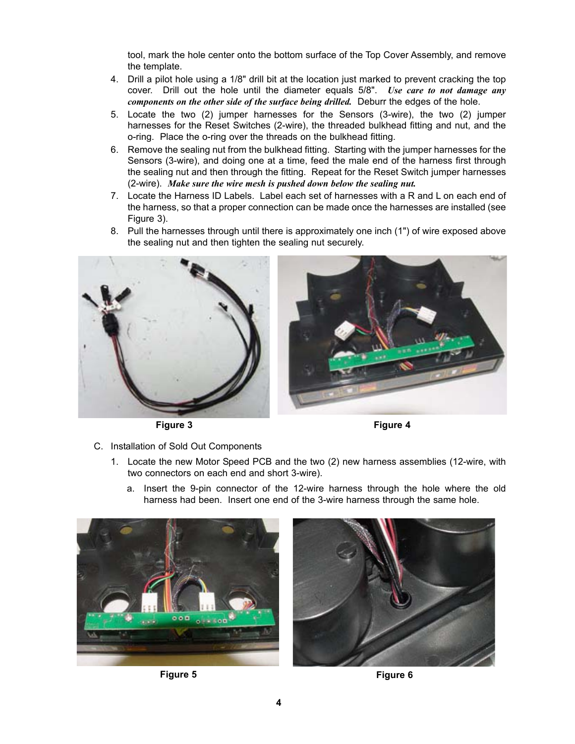tool, mark the hole center onto the bottom surface of the Top Cover Assembly, and remove the template.

- 4. Drill a pilot hole using a 1/8" drill bit at the location just marked to prevent cracking the top cover. Drill out the hole until the diameter equals 5/8". *Use care to not damage any components on the other side of the surface being drilled.* Deburr the edges of the hole.
- 5. Locate the two (2) jumper harnesses for the Sensors (3-wire), the two (2) jumper harnesses for the Reset Switches (2-wire), the threaded bulkhead fitting and nut, and the o-ring. Place the o-ring over the threads on the bulkhead fitting.
- 6. Remove the sealing nut from the bulkhead fitting. Starting with the jumper harnesses for the Sensors (3-wire), and doing one at a time, feed the male end of the harness first through the sealing nut and then through the fitting. Repeat for the Reset Switch jumper harnesses (2-wire). *Make sure the wire mesh is pushed down below the sealing nut.*
- 7. Locate the Harness ID Labels. Label each set of harnesses with a R and L on each end of the harness, so that a proper connection can be made once the harnesses are installed (see Figure 3).
- 8. Pull the harnesses through until there is approximately one inch (1") of wire exposed above the sealing nut and then tighten the sealing nut securely.



**Figure 3 Figure 4**



- C. Installation of Sold Out Components
	- 1. Locate the new Motor Speed PCB and the two (2) new harness assemblies (12-wire, with two connectors on each end and short 3-wire).
		- a. Insert the 9-pin connector of the 12-wire harness through the hole where the old harness had been. Insert one end of the 3-wire harness through the same hole.





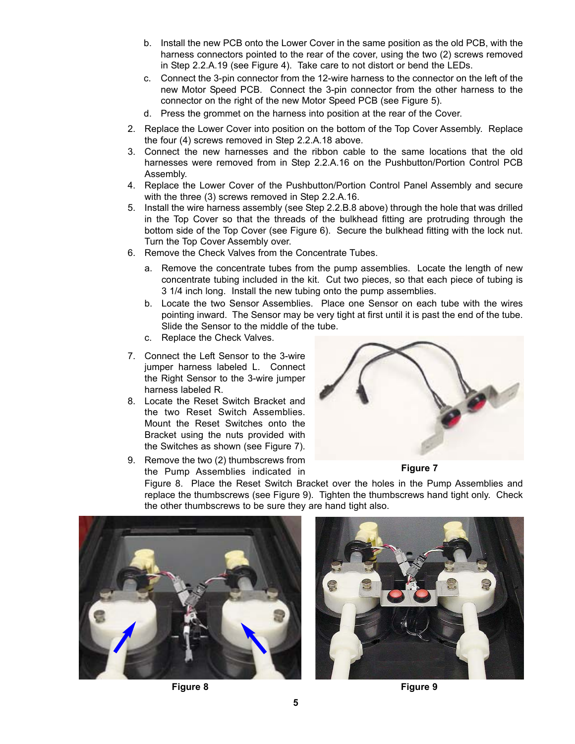- b. Install the new PCB onto the Lower Cover in the same position as the old PCB, with the harness connectors pointed to the rear of the cover, using the two (2) screws removed in Step 2.2.A.19 (see Figure 4). Take care to not distort or bend the LEDs.
- c. Connect the 3-pin connector from the 12-wire harness to the connector on the left of the new Motor Speed PCB. Connect the 3-pin connector from the other harness to the connector on the right of the new Motor Speed PCB (see Figure 5).
- d. Press the grommet on the harness into position at the rear of the Cover.
- 2. Replace the Lower Cover into position on the bottom of the Top Cover Assembly. Replace the four (4) screws removed in Step 2.2.A.18 above.
- 3. Connect the new harnesses and the ribbon cable to the same locations that the old harnesses were removed from in Step 2.2.A.16 on the Pushbutton/Portion Control PCB Assembly.
- 4. Replace the Lower Cover of the Pushbutton/Portion Control Panel Assembly and secure with the three (3) screws removed in Step 2.2.A.16.
- 5. Install the wire harness assembly (see Step 2.2.B.8 above) through the hole that was drilled in the Top Cover so that the threads of the bulkhead fitting are protruding through the bottom side of the Top Cover (see Figure 6). Secure the bulkhead fitting with the lock nut. Turn the Top Cover Assembly over.
- 6. Remove the Check Valves from the Concentrate Tubes.
	- a. Remove the concentrate tubes from the pump assemblies. Locate the length of new concentrate tubing included in the kit. Cut two pieces, so that each piece of tubing is 3 1/4 inch long. Install the new tubing onto the pump assemblies.
	- b. Locate the two Sensor Assemblies. Place one Sensor on each tube with the wires pointing inward. The Sensor may be very tight at first until it is past the end of the tube. Slide the Sensor to the middle of the tube.
	- c. Replace the Check Valves.
- 7. Connect the Left Sensor to the 3-wire jumper harness labeled L. Connect the Right Sensor to the 3-wire jumper harness labeled R.
- 8. Locate the Reset Switch Bracket and the two Reset Switch Assemblies. Mount the Reset Switches onto the Bracket using the nuts provided with the Switches as shown (see Figure 7).
- **Figure 7** 9. Remove the two (2) thumbscrews from **Figure 7 Figure 7** the Pump Assemblies indicated in



Figure 8. Place the Reset Switch Bracket over the holes in the Pump Assemblies and replace the thumbscrews (see Figure 9). Tighten the thumbscrews hand tight only. Check the other thumbscrews to be sure they are hand tight also.





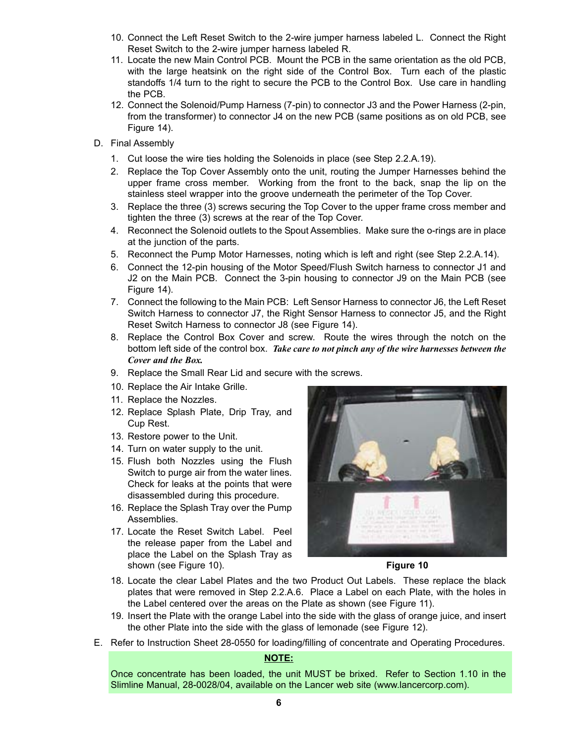- 10. Connect the Left Reset Switch to the 2-wire jumper harness labeled L. Connect the Right Reset Switch to the 2-wire jumper harness labeled R.
- 11. Locate the new Main Control PCB. Mount the PCB in the same orientation as the old PCB, with the large heatsink on the right side of the Control Box. Turn each of the plastic standoffs 1/4 turn to the right to secure the PCB to the Control Box. Use care in handling the PCB.
- 12. Connect the Solenoid/Pump Harness (7-pin) to connector J3 and the Power Harness (2-pin, from the transformer) to connector J4 on the new PCB (same positions as on old PCB, see Figure 14).
- D. Final Assembly
	- 1. Cut loose the wire ties holding the Solenoids in place (see Step 2.2.A.19).
	- 2. Replace the Top Cover Assembly onto the unit, routing the Jumper Harnesses behind the upper frame cross member. Working from the front to the back, snap the lip on the stainless steel wrapper into the groove underneath the perimeter of the Top Cover.
	- 3. Replace the three (3) screws securing the Top Cover to the upper frame cross member and tighten the three (3) screws at the rear of the Top Cover.
	- 4. Reconnect the Solenoid outlets to the Spout Assemblies. Make sure the o-rings are in place at the junction of the parts.
	- 5. Reconnect the Pump Motor Harnesses, noting which is left and right (see Step 2.2.A.14).
	- 6. Connect the 12-pin housing of the Motor Speed/Flush Switch harness to connector J1 and J2 on the Main PCB. Connect the 3-pin housing to connector J9 on the Main PCB (see Figure 14).
	- 7. Connect the following to the Main PCB: Left Sensor Harness to connector J6, the Left Reset Switch Harness to connector J7, the Right Sensor Harness to connector J5, and the Right Reset Switch Harness to connector J8 (see Figure 14).
	- 8. Replace the Control Box Cover and screw. Route the wires through the notch on the bottom left side of the control box. *Take care to not pinch any of the wire harnesses between the Cover and the Box.*
	- 9. Replace the Small Rear Lid and secure with the screws.
	- 10. Replace the Air Intake Grille.
	- 11. Replace the Nozzles.
	- 12. Replace Splash Plate, Drip Tray, and Cup Rest.
	- 13. Restore power to the Unit.
	- 14. Turn on water supply to the unit.
	- 15. Flush both Nozzles using the Flush Switch to purge air from the water lines. Check for leaks at the points that were disassembled during this procedure.
	- 16. Replace the Splash Tray over the Pump Assemblies.
	- 17. Locate the Reset Switch Label. Peel the release paper from the Label and place the Label on the Splash Tray as shown (see Figure 10). **Figure 10**



- 18. Locate the clear Label Plates and the two Product Out Labels. These replace the black plates that were removed in Step 2.2.A.6. Place a Label on each Plate, with the holes in the Label centered over the areas on the Plate as shown (see Figure 11).
- 19. Insert the Plate with the orange Label into the side with the glass of orange juice, and insert the other Plate into the side with the glass of lemonade (see Figure 12).
- E. Refer to Instruction Sheet 28-0550 for loading/filling of concentrate and Operating Procedures.

#### **NOTE:**

Once concentrate has been loaded, the unit MUST be brixed. Refer to Section 1.10 in the Slimline Manual, 28-0028/04, available on the Lancer web site (www.lancercorp.com).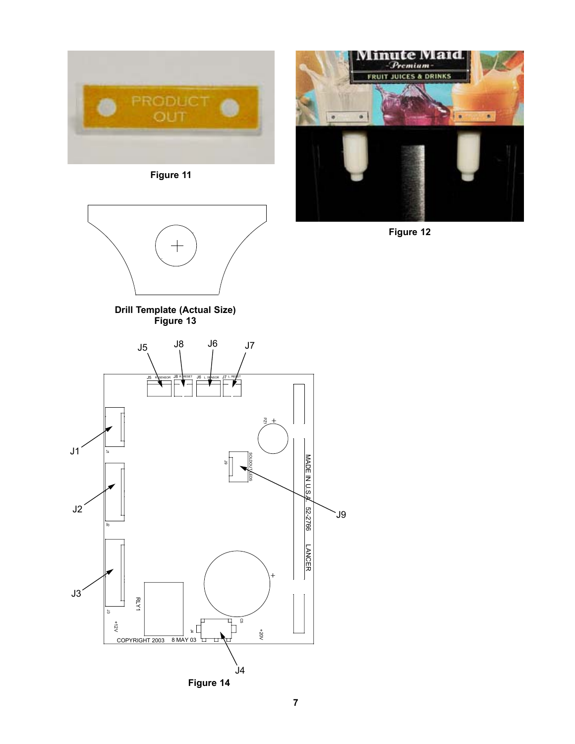

**Figure 11**





**Figure 12**